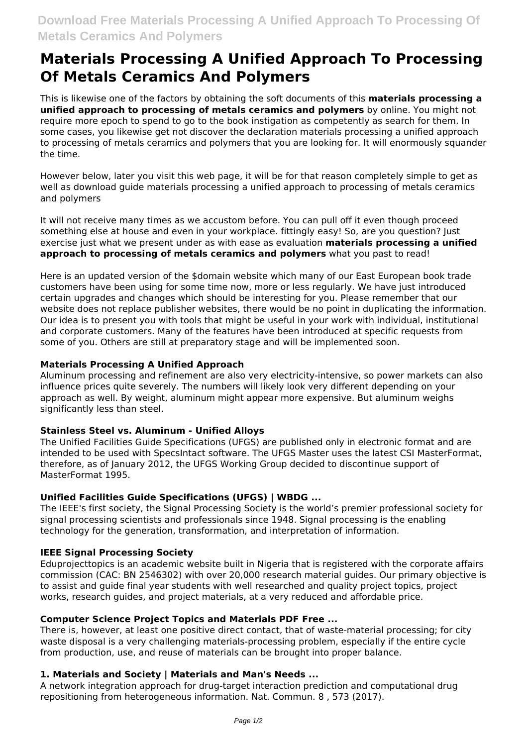# **Materials Processing A Unified Approach To Processing Of Metals Ceramics And Polymers**

This is likewise one of the factors by obtaining the soft documents of this **materials processing a unified approach to processing of metals ceramics and polymers** by online. You might not require more epoch to spend to go to the book instigation as competently as search for them. In some cases, you likewise get not discover the declaration materials processing a unified approach to processing of metals ceramics and polymers that you are looking for. It will enormously squander the time.

However below, later you visit this web page, it will be for that reason completely simple to get as well as download guide materials processing a unified approach to processing of metals ceramics and polymers

It will not receive many times as we accustom before. You can pull off it even though proceed something else at house and even in your workplace. fittingly easy! So, are you question? Just exercise just what we present under as with ease as evaluation **materials processing a unified approach to processing of metals ceramics and polymers** what you past to read!

Here is an updated version of the \$domain website which many of our East European book trade customers have been using for some time now, more or less regularly. We have just introduced certain upgrades and changes which should be interesting for you. Please remember that our website does not replace publisher websites, there would be no point in duplicating the information. Our idea is to present you with tools that might be useful in your work with individual, institutional and corporate customers. Many of the features have been introduced at specific requests from some of you. Others are still at preparatory stage and will be implemented soon.

## **Materials Processing A Unified Approach**

Aluminum processing and refinement are also very electricity-intensive, so power markets can also influence prices quite severely. The numbers will likely look very different depending on your approach as well. By weight, aluminum might appear more expensive. But aluminum weighs significantly less than steel.

#### **Stainless Steel vs. Aluminum - Unified Alloys**

The Unified Facilities Guide Specifications (UFGS) are published only in electronic format and are intended to be used with SpecsIntact software. The UFGS Master uses the latest CSI MasterFormat, therefore, as of January 2012, the UFGS Working Group decided to discontinue support of MasterFormat 1995.

#### **Unified Facilities Guide Specifications (UFGS) | WBDG ...**

The IEEE's first society, the Signal Processing Society is the world's premier professional society for signal processing scientists and professionals since 1948. Signal processing is the enabling technology for the generation, transformation, and interpretation of information.

#### **IEEE Signal Processing Society**

Eduprojecttopics is an academic website built in Nigeria that is registered with the corporate affairs commission (CAC: BN 2546302) with over 20,000 research material guides. Our primary objective is to assist and guide final year students with well researched and quality project topics, project works, research guides, and project materials, at a very reduced and affordable price.

## **Computer Science Project Topics and Materials PDF Free ...**

There is, however, at least one positive direct contact, that of waste-material processing; for city waste disposal is a very challenging materials-processing problem, especially if the entire cycle from production, use, and reuse of materials can be brought into proper balance.

#### **1. Materials and Society | Materials and Man's Needs ...**

A network integration approach for drug-target interaction prediction and computational drug repositioning from heterogeneous information. Nat. Commun. 8 , 573 (2017).